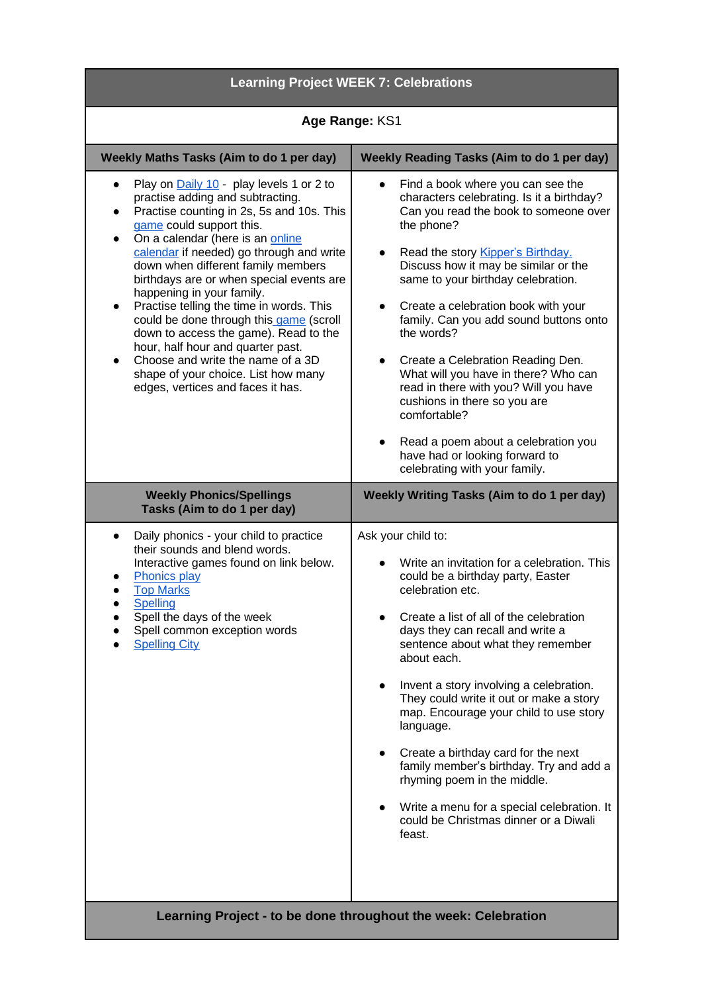| <b>Learning Project WEEK 7: Celebrations</b>                                                                                                                                                                                                                                                                                                                                                                                                                                                                                                                                                                                                                                                                |                                                                                                                                                                                                                                                                                                                                                                                                                                                                                                                                                                                                                                                                   |
|-------------------------------------------------------------------------------------------------------------------------------------------------------------------------------------------------------------------------------------------------------------------------------------------------------------------------------------------------------------------------------------------------------------------------------------------------------------------------------------------------------------------------------------------------------------------------------------------------------------------------------------------------------------------------------------------------------------|-------------------------------------------------------------------------------------------------------------------------------------------------------------------------------------------------------------------------------------------------------------------------------------------------------------------------------------------------------------------------------------------------------------------------------------------------------------------------------------------------------------------------------------------------------------------------------------------------------------------------------------------------------------------|
| Age Range: KS1                                                                                                                                                                                                                                                                                                                                                                                                                                                                                                                                                                                                                                                                                              |                                                                                                                                                                                                                                                                                                                                                                                                                                                                                                                                                                                                                                                                   |
| Weekly Maths Tasks (Aim to do 1 per day)                                                                                                                                                                                                                                                                                                                                                                                                                                                                                                                                                                                                                                                                    | <b>Weekly Reading Tasks (Aim to do 1 per day)</b>                                                                                                                                                                                                                                                                                                                                                                                                                                                                                                                                                                                                                 |
| Play on Daily 10 - play levels 1 or 2 to<br>$\bullet$<br>practise adding and subtracting.<br>Practise counting in 2s, 5s and 10s. This<br>$\bullet$<br>game could support this.<br>On a calendar (here is an online<br>$\bullet$<br>calendar if needed) go through and write<br>down when different family members<br>birthdays are or when special events are<br>happening in your family.<br>Practise telling the time in words. This<br>$\bullet$<br>could be done through this game (scroll<br>down to access the game). Read to the<br>hour, half hour and quarter past.<br>Choose and write the name of a 3D<br>$\bullet$<br>shape of your choice. List how many<br>edges, vertices and faces it has. | Find a book where you can see the<br>$\bullet$<br>characters celebrating. Is it a birthday?<br>Can you read the book to someone over<br>the phone?<br>Read the story Kipper's Birthday.<br>Discuss how it may be similar or the<br>same to your birthday celebration.<br>Create a celebration book with your<br>family. Can you add sound buttons onto<br>the words?<br>Create a Celebration Reading Den.<br>$\bullet$<br>What will you have in there? Who can<br>read in there with you? Will you have<br>cushions in there so you are<br>comfortable?<br>Read a poem about a celebration you<br>have had or looking forward to<br>celebrating with your family. |
| <b>Weekly Phonics/Spellings</b><br>Tasks (Aim to do 1 per day)                                                                                                                                                                                                                                                                                                                                                                                                                                                                                                                                                                                                                                              | <b>Weekly Writing Tasks (Aim to do 1 per day)</b>                                                                                                                                                                                                                                                                                                                                                                                                                                                                                                                                                                                                                 |
| Daily phonics - your child to practice<br>$\bullet$<br>their sounds and blend words.<br>Interactive games found on link below.<br><b>Phonics play</b><br><b>Top Marks</b><br>Spelling<br>Spell the days of the week<br>Spell common exception words<br><b>Spelling City</b>                                                                                                                                                                                                                                                                                                                                                                                                                                 | Ask your child to:<br>Write an invitation for a celebration. This<br>could be a birthday party, Easter<br>celebration etc.<br>Create a list of all of the celebration<br>days they can recall and write a<br>sentence about what they remember<br>about each.<br>Invent a story involving a celebration.<br>They could write it out or make a story<br>map. Encourage your child to use story<br>language.<br>Create a birthday card for the next<br>family member's birthday. Try and add a<br>rhyming poem in the middle.<br>Write a menu for a special celebration. It<br>could be Christmas dinner or a Diwali<br>feast.                                      |
| Learning Project - to be done throughout the week: Celebration                                                                                                                                                                                                                                                                                                                                                                                                                                                                                                                                                                                                                                              |                                                                                                                                                                                                                                                                                                                                                                                                                                                                                                                                                                                                                                                                   |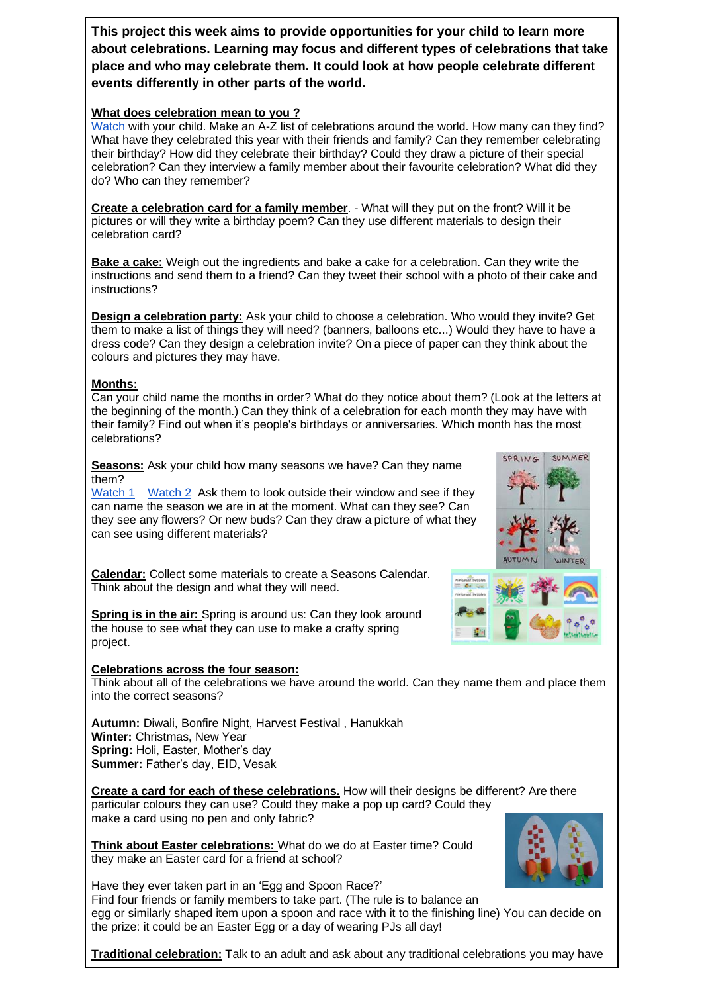**This project this week aims to provide opportunities for your child to learn more about celebrations. Learning may focus and different types of celebrations that take place and who may celebrate them. It could look at how people celebrate different events differently in other parts of the world.** 

## **What does celebration mean to you ?**

[Watch](https://www.bbc.co.uk/cbeebies/shows/lets-celebrate) with your child. Make an A-Z list of celebrations around the world. How many can they find? What have they celebrated this year with their friends and family? Can they remember celebrating their birthday? How did they celebrate their birthday? Could they draw a picture of their special celebration? Can they interview a family member about their favourite celebration? What did they do? Who can they remember?

**Create a celebration card for a family member**. - What will they put on the front? Will it be pictures or will they write a birthday poem? Can they use different materials to design their celebration card?

**Bake a cake:** Weigh out the ingredients and bake a cake for a celebration. Can they write the instructions and send them to a friend? Can they tweet their school with a photo of their cake and instructions?

**Design a celebration party:** Ask your child to choose a celebration. Who would they invite? Get them to make a list of things they will need? (banners, balloons etc...) Would they have to have a dress code? Can they design a celebration invite? On a piece of paper can they think about the colours and pictures they may have.

## **Months:**

Can your child name the months in order? What do they notice about them? (Look at the letters at the beginning of the month.) Can they think of a celebration for each month they may have with their family? Find out when it's people's birthdays or anniversaries. Which month has the most celebrations?

**Seasons:** Ask your child how many seasons we have? Can they name them?

[Watch 1](https://www.youtube.com/watch?v=VYpGBtR8Lbs) [Watch 2](https://www.youtube.com/watch?v=8ZjpI6fgYSY) Ask them to look outside their window and see if they can name the season we are in at the moment. What can they see? Can they see any flowers? Or new buds? Can they draw a picture of what they can see using different materials?

**Calendar:** Collect some materials to create a Seasons Calendar. Think about the design and what they will need.

**Spring is in the air:** Spring is around us: Can they look around the house to see what they can use to make a crafty spring project.

## **Celebrations across the four season:**

Think about all of the celebrations we have around the world. Can they name them and place them into the correct seasons?

**Autumn:** Diwali, Bonfire Night, Harvest Festival , Hanukkah **Winter:** Christmas, New Year **Spring:** Holi, Easter, Mother's day **Summer:** Father's day, EID, Vesak

**Create a card for each of these celebrations.** How will their designs be different? Are there particular colours they can use? Could they make a pop up card? Could they make a card using no pen and only fabric?

**Think about Easter celebrations:** What do we do at Easter time? Could they make an Easter card for a friend at school?

Have they ever taken part in an 'Egg and Spoon Race?' Find four friends or family members to take part. (The rule is to balance an egg or similarly shaped item upon a spoon and race with it to the finishing line) You can decide on the prize: it could be an Easter Egg or a day of wearing PJs all day!

**Traditional celebration:** Talk to an adult and ask about any traditional celebrations you may have



SPRING

SUMMER